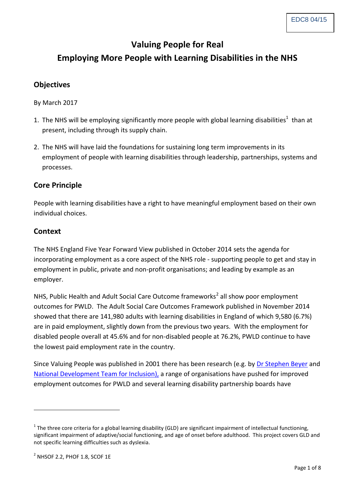## **Valuing People for Real**

# **Employing More People with Learning Disabilities in the NHS**

### **Objectives**

By March 2017

- 1. The NHS will be employing significantly more people with global learning disabilities<sup>1</sup> than at present, including through its supply chain.
- 2. The NHS will have laid the foundations for sustaining long term improvements in its employment of people with learning disabilities through leadership, partnerships, systems and processes.

#### **Core Principle**

People with learning disabilities have a right to have meaningful employment based on their own individual choices.

#### **Context**

The NHS England Five Year Forward View published in October 2014 sets the agenda for incorporating employment as a core aspect of the NHS role - supporting people to get and stay in employment in public, private and non-profit organisations; and leading by example as an employer.

NHS, Public Health and Adult Social Care Outcome frameworks<sup>2</sup> all show poor employment outcomes for PWLD. The Adult Social Care Outcomes Framework published in November 2014 showed that there are 141,980 adults with learning disabilities in England of which 9,580 (6.7%) are in paid employment, slightly down from the previous two years. With the employment for disabled people overall at 45.6% and for non-disabled people at 76.2%, PWLD continue to have the lowest paid employment rate in the country.

Since Valuing People was published in 2001 there has been research (e.g. by [Dr Stephen Beyer](http://www.kcl.ac.uk/sspp/policy-institute/scwru/mrc/events2014/ldss29apr14.aspx) and [National Development Team for Inclusion\),](http://www.ndti.org.uk/) a range of organisations have pushed for improved employment outcomes for PWLD and several learning disability partnership boards have

-

 $1$  The three core criteria for a global learning disability (GLD) are significant impairment of intellectual functioning, significant impairment of adaptive/social functioning, and age of onset before adulthood. This project covers GLD and not specific learning difficulties such as dyslexia.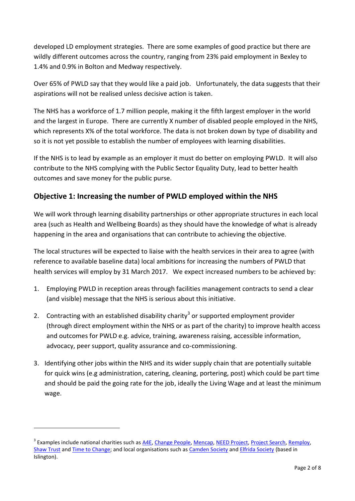developed LD employment strategies. There are some examples of good practice but there are wildly different outcomes across the country, ranging from 23% paid employment in Bexley to 1.4% and 0.9% in Bolton and Medway respectively.

Over 65% of PWLD say that they would like a paid job. Unfortunately, the data suggests that their aspirations will not be realised unless decisive action is taken.

The NHS has a workforce of 1.7 million people, making it the fifth largest employer in the world and the largest in Europe. There are currently X number of disabled people employed in the NHS, which represents X% of the total workforce. The data is not broken down by type of disability and so it is not yet possible to establish the number of employees with learning disabilities.

If the NHS is to lead by example as an employer it must do better on employing PWLD. It will also contribute to the NHS complying with the Public Sector Equality Duty, lead to better health outcomes and save money for the public purse.

### **Objective 1: Increasing the number of PWLD employed within the NHS**

We will work through learning disability partnerships or other appropriate structures in each local area (such as Health and Wellbeing Boards) as they should have the knowledge of what is already happening in the area and organisations that can contribute to achieving the objective.

The local structures will be expected to liaise with the health services in their area to agree (with reference to available baseline data) local ambitions for increasing the numbers of PWLD that health services will employ by 31 March 2017. We expect increased numbers to be achieved by:

- 1. Employing PWLD in reception areas through facilities management contracts to send a clear (and visible) message that the NHS is serious about this initiative.
- 2. Contracting with an established disability charity<sup>3</sup> or supported employment provider (through direct employment within the NHS or as part of the charity) to improve health access and outcomes for PWLD e.g. advice, training, awareness raising, accessible information, advocacy, peer support, quality assurance and co-commissioning.
- 3. Identifying other jobs within the NHS and its wider supply chain that are potentially suitable for quick wins (e.g administration, catering, cleaning, portering, post) which could be part time and should be paid the going rate for the job, ideally the Living Wage and at least the minimum wage.

-

<sup>&</sup>lt;sup>3</sup> Examples include national charities such as <u>A4E</u>, [Change People,](http://www.changepeople.org/) [Mencap,](https://www.mencap.org.uk/about-learning-disability) [NEED Project,](http://theneedproject.org.uk/) [Project Search,](http://www.pluss.org.uk/project-search-0) [Remploy,](https://www.remploy.co.uk/en/index/) [Shaw Trust](http://www.shaw-trust.org.uk/) and [Time to Change;](http://www.time-to-change.org.uk/) and local organisations such a[s Camden Society](http://www.thecamdensociety.co.uk/home) and [Elfrida Society](http://www.elfrida.com/) (based in Islington).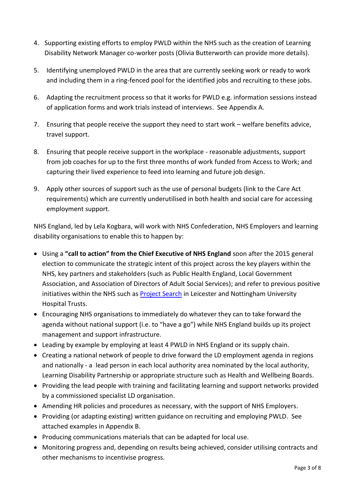- 4. Supporting existing efforts to employ PWLD within the NHS such as the creation of Learning Disability Network Manager co-worker posts (Olivia Butterworth can provide more details).
- 5. Identifying unemployed PWLD in the area that are currently seeking work or ready to work and including them in a ring-fenced pool for the identified jobs and recruiting to these jobs.
- 6. Adapting the recruitment process so that it works for PWLD e.g. information sessions instead of application forms and work trials instead of interviews. See Appendix A.
- 7. Ensuring that people receive the support they need to start work welfare benefits advice, travel support.
- 8. Ensuring that people receive support in the workplace reasonable adjustments, support from job coaches for up to the first three months of work funded from Access to Work; and capturing their lived experience to feed into learning and future job design.
- 9. Apply other sources of support such as the use of personal budgets (link to the Care Act requirements) which are currently underutilised in both health and social care for accessing employment support.

NHS England, led by Lela Kogbara, will work with NHS Confederation, NHS Employers and learning disability organisations to enable this to happen by:

- Using a **"call to action" from the Chief Executive of NHS England** soon after the 2015 general election to communicate the strategic intent of this project across the key players within the NHS, key partners and stakeholders (such as Public Health England, Local Government Association, and Association of Directors of Adult Social Services); and refer to previous positive initiatives within the NHS such as [Project Search](http://www.nuh.nhs.uk/work-here/project-search/) in Leicester and Nottingham University Hospital Trusts.
- Encouraging NHS organisations to immediately do whatever they can to take forward the agenda without national support (i.e. to "have a go") while NHS England builds up its project management and support infrastructure.
- Leading by example by employing at least 4 PWLD in NHS England or its supply chain.
- Creating a national network of people to drive forward the LD employment agenda in regions and nationally - a lead person in each local authority area nominated by the local authority, Learning Disability Partnership or appropriate structure such as Health and Wellbeing Boards.
- Providing the lead people with training and facilitating learning and support networks provided by a commissioned specialist LD organisation.
- Amending HR policies and procedures as necessary, with the support of NHS Employers.
- Providing (or adapting existing) written guidance on recruiting and employing PWLD. See attached examples in Appendix B.
- Producing communications materials that can be adapted for local use.
- Monitoring progress and, depending on results being achieved, consider utilising contracts and other mechanisms to incentivise progress.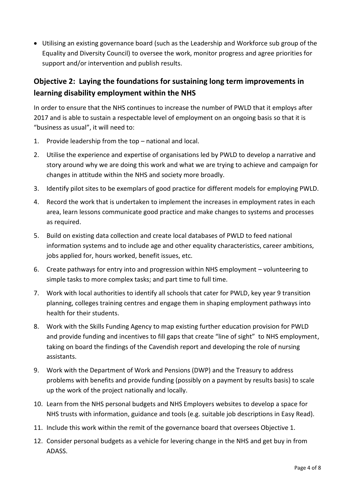Utilising an existing governance board (such as the Leadership and Workforce sub group of the Equality and Diversity Council) to oversee the work, monitor progress and agree priorities for support and/or intervention and publish results.

### **Objective 2: Laying the foundations for sustaining long term improvements in learning disability employment within the NHS**

In order to ensure that the NHS continues to increase the number of PWLD that it employs after 2017 and is able to sustain a respectable level of employment on an ongoing basis so that it is "business as usual", it will need to:

- 1. Provide leadership from the top national and local.
- 2. Utilise the experience and expertise of organisations led by PWLD to develop a narrative and story around why we are doing this work and what we are trying to achieve and campaign for changes in attitude within the NHS and society more broadly.
- 3. Identify pilot sites to be exemplars of good practice for different models for employing PWLD.
- 4. Record the work that is undertaken to implement the increases in employment rates in each area, learn lessons communicate good practice and make changes to systems and processes as required.
- 5. Build on existing data collection and create local databases of PWLD to feed national information systems and to include age and other equality characteristics, career ambitions, jobs applied for, hours worked, benefit issues, etc.
- 6. Create pathways for entry into and progression within NHS employment volunteering to simple tasks to more complex tasks; and part time to full time.
- 7. Work with local authorities to identify all schools that cater for PWLD, key year 9 transition planning, colleges training centres and engage them in shaping employment pathways into health for their students.
- 8. Work with the Skills Funding Agency to map existing further education provision for PWLD and provide funding and incentives to fill gaps that create "line of sight" to NHS employment, taking on board the findings of the Cavendish report and developing the role of nursing assistants.
- 9. Work with the Department of Work and Pensions (DWP) and the Treasury to address problems with benefits and provide funding (possibly on a payment by results basis) to scale up the work of the project nationally and locally.
- 10. Learn from the NHS personal budgets and NHS Employers websites to develop a space for NHS trusts with information, guidance and tools (e.g. suitable job descriptions in Easy Read).
- 11. Include this work within the remit of the governance board that oversees Objective 1.
- 12. Consider personal budgets as a vehicle for levering change in the NHS and get buy in from ADASS.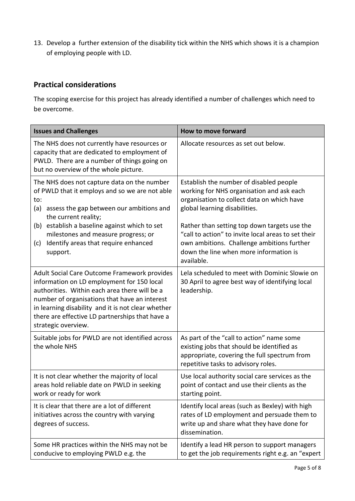13. Develop a further extension of the disability tick within the NHS which shows it is a champion of employing people with LD.

### **Practical considerations**

The scoping exercise for this project has already identified a number of challenges which need to be overcome.

| <b>Issues and Challenges</b>                                                                                                                                                                                                                                                                                                 | How to move forward                                                                                                                                                                                       |  |  |  |
|------------------------------------------------------------------------------------------------------------------------------------------------------------------------------------------------------------------------------------------------------------------------------------------------------------------------------|-----------------------------------------------------------------------------------------------------------------------------------------------------------------------------------------------------------|--|--|--|
| The NHS does not currently have resources or<br>capacity that are dedicated to employment of<br>PWLD. There are a number of things going on<br>but no overview of the whole picture.                                                                                                                                         | Allocate resources as set out below.                                                                                                                                                                      |  |  |  |
| The NHS does not capture data on the number<br>of PWLD that it employs and so we are not able<br>to:<br>(a)<br>assess the gap between our ambitions and<br>the current reality;                                                                                                                                              | Establish the number of disabled people<br>working for NHS organisation and ask each<br>organisation to collect data on which have<br>global learning disabilities.                                       |  |  |  |
| (b) establish a baseline against which to set<br>milestones and measure progress; or<br>Identify areas that require enhanced<br>(c)<br>support.                                                                                                                                                                              | Rather than setting top down targets use the<br>"call to action" to invite local areas to set their<br>own ambitions. Challenge ambitions further<br>down the line when more information is<br>available. |  |  |  |
| Adult Social Care Outcome Framework provides<br>information on LD employment for 150 local<br>authorities. Within each area there will be a<br>number of organisations that have an interest<br>in learning disability and it is not clear whether<br>there are effective LD partnerships that have a<br>strategic overview. | Lela scheduled to meet with Dominic Slowie on<br>30 April to agree best way of identifying local<br>leadership.                                                                                           |  |  |  |
| Suitable jobs for PWLD are not identified across<br>the whole NHS                                                                                                                                                                                                                                                            | As part of the "call to action" name some<br>existing jobs that should be identified as<br>appropriate, covering the full spectrum from<br>repetitive tasks to advisory roles.                            |  |  |  |
| It is not clear whether the majority of local<br>areas hold reliable date on PWLD in seeking<br>work or ready for work                                                                                                                                                                                                       | Use local authority social care services as the<br>point of contact and use their clients as the<br>starting point.                                                                                       |  |  |  |
| It is clear that there are a lot of different<br>initiatives across the country with varying<br>degrees of success.                                                                                                                                                                                                          | Identify local areas (such as Bexley) with high<br>rates of LD employment and persuade them to<br>write up and share what they have done for<br>dissemination.                                            |  |  |  |
| Some HR practices within the NHS may not be<br>conducive to employing PWLD e.g. the                                                                                                                                                                                                                                          | Identify a lead HR person to support managers<br>to get the job requirements right e.g. an "expert                                                                                                        |  |  |  |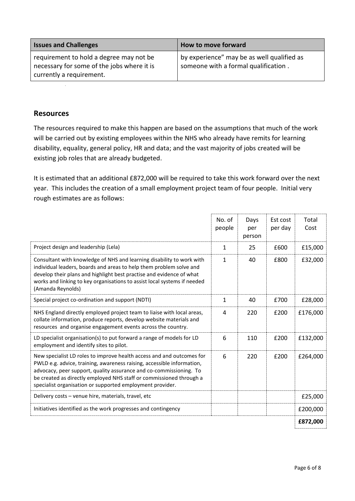| <b>Issues and Challenges</b>                                                                                      | How to move forward                                                                |  |  |
|-------------------------------------------------------------------------------------------------------------------|------------------------------------------------------------------------------------|--|--|
| requirement to hold a degree may not be<br>necessary for some of the jobs where it is<br>currently a requirement. | by experience" may be as well qualified as<br>someone with a formal qualification. |  |  |

#### **Resources**

The resources required to make this happen are based on the assumptions that much of the work will be carried out by existing employees within the NHS who already have remits for learning disability, equality, general policy, HR and data; and the vast majority of jobs created will be existing job roles that are already budgeted.

It is estimated that an additional £872,000 will be required to take this work forward over the next year. This includes the creation of a small employment project team of four people. Initial very rough estimates are as follows:

|                                                                                                                                                                                                                                                                                                                                                           | No. of<br>people | Days<br>per<br>person | Est cost<br>per day | Total<br>Cost |
|-----------------------------------------------------------------------------------------------------------------------------------------------------------------------------------------------------------------------------------------------------------------------------------------------------------------------------------------------------------|------------------|-----------------------|---------------------|---------------|
| Project design and leadership (Lela)                                                                                                                                                                                                                                                                                                                      | $\mathbf{1}$     | 25                    | £600                | £15,000       |
| Consultant with knowledge of NHS and learning disability to work with<br>individual leaders, boards and areas to help them problem solve and<br>develop their plans and highlight best practise and evidence of what<br>works and linking to key organisations to assist local systems if needed<br>(Amanda Reynolds)                                     | $\mathbf{1}$     | 40                    | £800                | £32,000       |
| Special project co-ordination and support (NDTI)                                                                                                                                                                                                                                                                                                          | $\mathbf{1}$     | 40                    | £700                | £28,000       |
| NHS England directly employed project team to liaise with local areas,<br>collate information, produce reports, develop website materials and<br>resources and organise engagement events across the country.                                                                                                                                             | 4                | 220                   | £200                | £176,000      |
| LD specialist organisation(s) to put forward a range of models for LD<br>employment and identify sites to pilot.                                                                                                                                                                                                                                          | 6                | 110                   | £200                | £132,000      |
| New specialist LD roles to improve health access and and outcomes for<br>PWLD e.g. advice, training, awareness raising, accessible information,<br>advocacy, peer support, quality assurance and co-commissioning. To<br>be created as directly employed NHS staff or commissioned through a<br>specialist organisation or supported employment provider. | 6                | 220                   | £200                | £264,000      |
| Delivery costs – venue hire, materials, travel, etc                                                                                                                                                                                                                                                                                                       |                  |                       |                     | £25,000       |
| Initiatives identified as the work progresses and contingency                                                                                                                                                                                                                                                                                             |                  |                       |                     | £200,000      |
|                                                                                                                                                                                                                                                                                                                                                           |                  |                       |                     | £872,000      |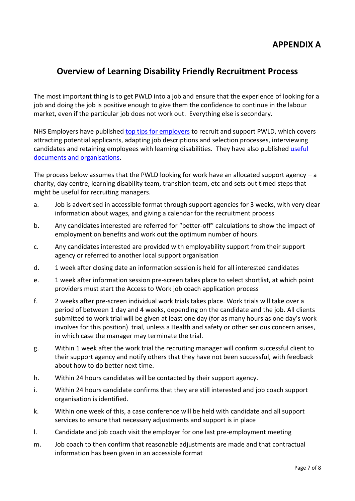### **APPENDIX A**

### **Overview of Learning Disability Friendly Recruitment Process**

The most important thing is to get PWLD into a job and ensure that the experience of looking for a job and doing the job is positive enough to give them the confidence to continue in the labour market, even if the particular job does not work out. Everything else is secondary.

NHS Employers have published [top tips for employers](http://www.nhsemployers.org/your-workforce/plan/building-a-diverse-workforce/need-to-know/creating-a-diverse-workforce-learning-disability/top-tips-for-employers) to recruit and support PWLD, which covers attracting potential applicants, adapting job descriptions and selection processes, interviewing candidates and retaining employees with learning disabilities. They have also published [useful](http://www.nhsemployers.org/your-workforce/plan/building-a-diverse-workforce/need-to-know/creating-a-diverse-workforce-learning-disability/useful-documents-and-organisations)  [documents and organisations.](http://www.nhsemployers.org/your-workforce/plan/building-a-diverse-workforce/need-to-know/creating-a-diverse-workforce-learning-disability/useful-documents-and-organisations)

The process below assumes that the PWLD looking for work have an allocated support agency  $-a$ charity, day centre, learning disability team, transition team, etc and sets out timed steps that might be useful for recruiting managers.

- a. Job is advertised in accessible format through support agencies for 3 weeks, with very clear information about wages, and giving a calendar for the recruitment process
- b. Any candidates interested are referred for "better-off" calculations to show the impact of employment on benefits and work out the optimum number of hours.
- c. Any candidates interested are provided with employability support from their support agency or referred to another local support organisation
- d. 1 week after closing date an information session is held for all interested candidates
- e. 1 week after information session pre-screen takes place to select shortlist, at which point providers must start the Access to Work job coach application process
- f. 2 weeks after pre-screen individual work trials takes place. Work trials will take over a period of between 1 day and 4 weeks, depending on the candidate and the job. All clients submitted to work trial will be given at least one day (for as many hours as one day's work involves for this position) trial, unless a Health and safety or other serious concern arises, in which case the manager may terminate the trial.
- g. Within 1 week after the work trial the recruiting manager will confirm successful client to their support agency and notify others that they have not been successful, with feedback about how to do better next time.
- h. Within 24 hours candidates will be contacted by their support agency.
- i. Within 24 hours candidate confirms that they are still interested and job coach support organisation is identified.
- k. Within one week of this, a case conference will be held with candidate and all support services to ensure that necessary adjustments and support is in place
- l. Candidate and job coach visit the employer for one last pre-employment meeting
- m. Job coach to then confirm that reasonable adjustments are made and that contractual information has been given in an accessible format